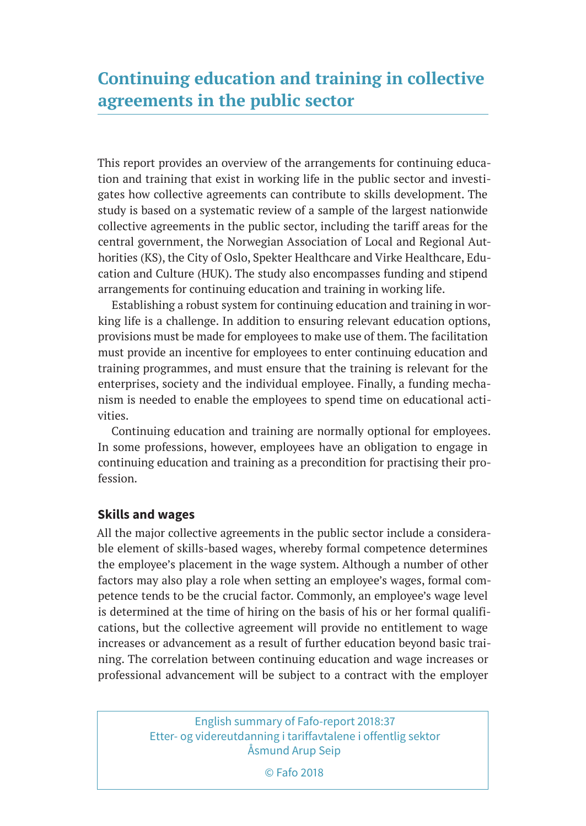This report provides an overview of the arrangements for continuing education and training that exist in working life in the public sector and investigates how collective agreements can contribute to skills development. The study is based on a systematic review of a sample of the largest nationwide collective agreements in the public sector, including the tariff areas for the central government, the Norwegian Association of Local and Regional Authorities (KS), the City of Oslo, Spekter Healthcare and Virke Healthcare, Education and Culture (HUK). The study also encompasses funding and stipend arrangements for continuing education and training in working life.

Establishing a robust system for continuing education and training in working life is a challenge. In addition to ensuring relevant education options, provisions must be made for employees to make use of them. The facilitation must provide an incentive for employees to enter continuing education and training programmes, and must ensure that the training is relevant for the enterprises, society and the individual employee. Finally, a funding mechanism is needed to enable the employees to spend time on educational activities.

Continuing education and training are normally optional for employees. In some professions, however, employees have an obligation to engage in continuing education and training as a precondition for practising their profession.

# **Skills and wages**

All the major collective agreements in the public sector include a considerable element of skills-based wages, whereby formal competence determines the employee's placement in the wage system. Although a number of other factors may also play a role when setting an employee's wages, formal competence tends to be the crucial factor. Commonly, an employee's wage level is determined at the time of hiring on the basis of his or her formal qualifications, but the collective agreement will provide no entitlement to wage increases or advancement as a result of further education beyond basic training. The correlation between continuing education and wage increases or professional advancement will be subject to a contract with the employer

> Åsmund Arup Seip English summary of Fafo-report 2018:37 Etter- og videreutdanning i tariffavtalene i offentlig sektor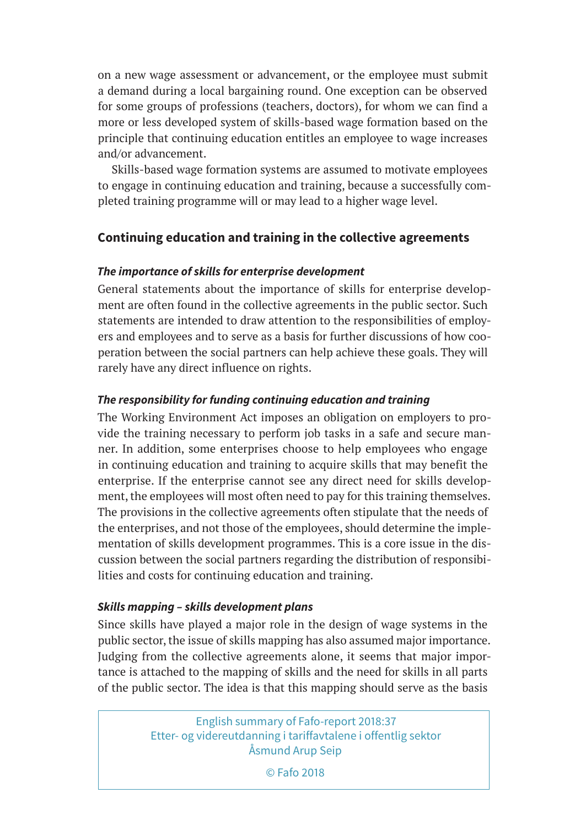on a new wage assessment or advancement, or the employee must submit a demand during a local bargaining round. One exception can be observed for some groups of professions (teachers, doctors), for whom we can find a more or less developed system of skills-based wage formation based on the principle that continuing education entitles an employee to wage increases and/or advancement.

Skills-based wage formation systems are assumed to motivate employees to engage in continuing education and training, because a successfully completed training programme will or may lead to a higher wage level.

# **Continuing education and training in the collective agreements**

### *The importance of skills for enterprise development*

General statements about the importance of skills for enterprise development are often found in the collective agreements in the public sector. Such statements are intended to draw attention to the responsibilities of employers and employees and to serve as a basis for further discussions of how cooperation between the social partners can help achieve these goals. They will rarely have any direct influence on rights.

### *The responsibility for funding continuing education and training*

The Working Environment Act imposes an obligation on employers to provide the training necessary to perform job tasks in a safe and secure manner. In addition, some enterprises choose to help employees who engage in continuing education and training to acquire skills that may benefit the enterprise. If the enterprise cannot see any direct need for skills development, the employees will most often need to pay for this training themselves. The provisions in the collective agreements often stipulate that the needs of the enterprises, and not those of the employees, should determine the implementation of skills development programmes. This is a core issue in the discussion between the social partners regarding the distribution of responsibilities and costs for continuing education and training.

### *Skills mapping – skills development plans*

Since skills have played a major role in the design of wage systems in the public sector, the issue of skills mapping has also assumed major importance. Judging from the collective agreements alone, it seems that major importance is attached to the mapping of skills and the need for skills in all parts of the public sector. The idea is that this mapping should serve as the basis

> English summary of Fafo-report 2018:37 Etter- og videreutdanning i tariffavtalene i offentlig sektor Åsmund Arup Seip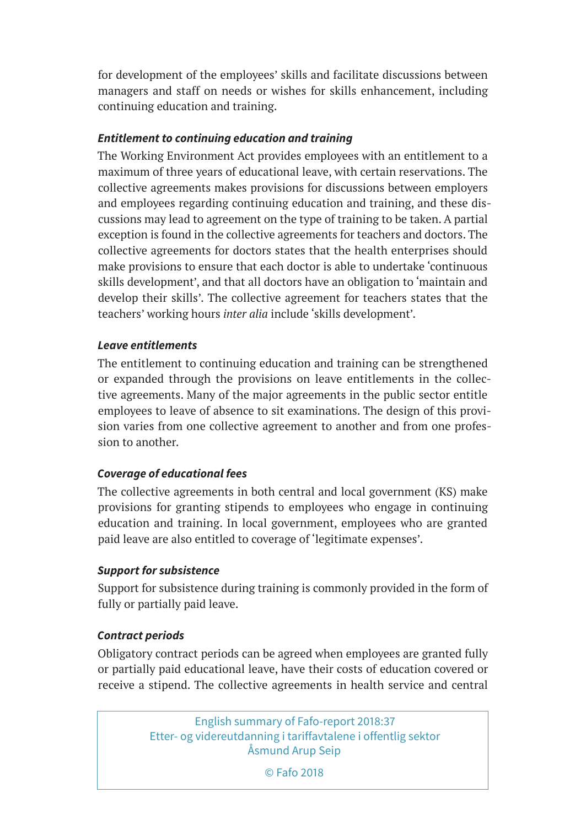for development of the employees' skills and facilitate discussions between managers and staff on needs or wishes for skills enhancement, including continuing education and training.

## *Entitlement to continuing education and training*

The Working Environment Act provides employees with an entitlement to a maximum of three years of educational leave, with certain reservations. The collective agreements makes provisions for discussions between employers and employees regarding continuing education and training, and these discussions may lead to agreement on the type of training to be taken. A partial exception is found in the collective agreements for teachers and doctors. The collective agreements for doctors states that the health enterprises should make provisions to ensure that each doctor is able to undertake 'continuous skills development', and that all doctors have an obligation to 'maintain and develop their skills'. The collective agreement for teachers states that the teachers' working hours *inter alia* include 'skills development'.

#### *Leave entitlements*

The entitlement to continuing education and training can be strengthened or expanded through the provisions on leave entitlements in the collective agreements. Many of the major agreements in the public sector entitle employees to leave of absence to sit examinations. The design of this provision varies from one collective agreement to another and from one profession to another.

### *Coverage of educational fees*

The collective agreements in both central and local government (KS) make provisions for granting stipends to employees who engage in continuing education and training. In local government, employees who are granted paid leave are also entitled to coverage of 'legitimate expenses'.

### *Support for subsistence*

Support for subsistence during training is commonly provided in the form of fully or partially paid leave.

### *Contract periods*

Obligatory contract periods can be agreed when employees are granted fully or partially paid educational leave, have their costs of education covered or receive a stipend. The collective agreements in health service and central

> Åsmund Arup Seip English summary of Fafo-report 2018:37 Etter- og videreutdanning i tariffavtalene i offentlig sektor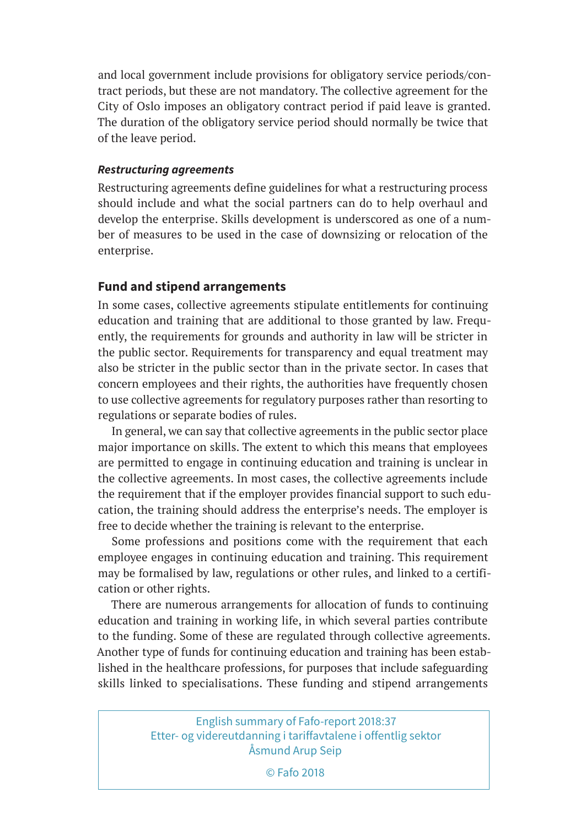and local government include provisions for obligatory service periods/contract periods, but these are not mandatory. The collective agreement for the City of Oslo imposes an obligatory contract period if paid leave is granted. The duration of the obligatory service period should normally be twice that of the leave period.

#### *Restructuring agreements*

Restructuring agreements define guidelines for what a restructuring process should include and what the social partners can do to help overhaul and develop the enterprise. Skills development is underscored as one of a number of measures to be used in the case of downsizing or relocation of the enterprise.

# **Fund and stipend arrangements**

In some cases, collective agreements stipulate entitlements for continuing education and training that are additional to those granted by law. Frequently, the requirements for grounds and authority in law will be stricter in the public sector. Requirements for transparency and equal treatment may also be stricter in the public sector than in the private sector. In cases that concern employees and their rights, the authorities have frequently chosen to use collective agreements for regulatory purposes rather than resorting to regulations or separate bodies of rules.

In general, we can say that collective agreements in the public sector place major importance on skills. The extent to which this means that employees are permitted to engage in continuing education and training is unclear in the collective agreements. In most cases, the collective agreements include the requirement that if the employer provides financial support to such education, the training should address the enterprise's needs. The employer is free to decide whether the training is relevant to the enterprise.

Some professions and positions come with the requirement that each employee engages in continuing education and training. This requirement may be formalised by law, regulations or other rules, and linked to a certification or other rights.

There are numerous arrangements for allocation of funds to continuing education and training in working life, in which several parties contribute to the funding. Some of these are regulated through collective agreements. Another type of funds for continuing education and training has been established in the healthcare professions, for purposes that include safeguarding skills linked to specialisations. These funding and stipend arrangements

> English summary of Fafo-report 2018:37 Etter- og videreutdanning i tariffavtalene i offentlig sektor Åsmund Arup Seip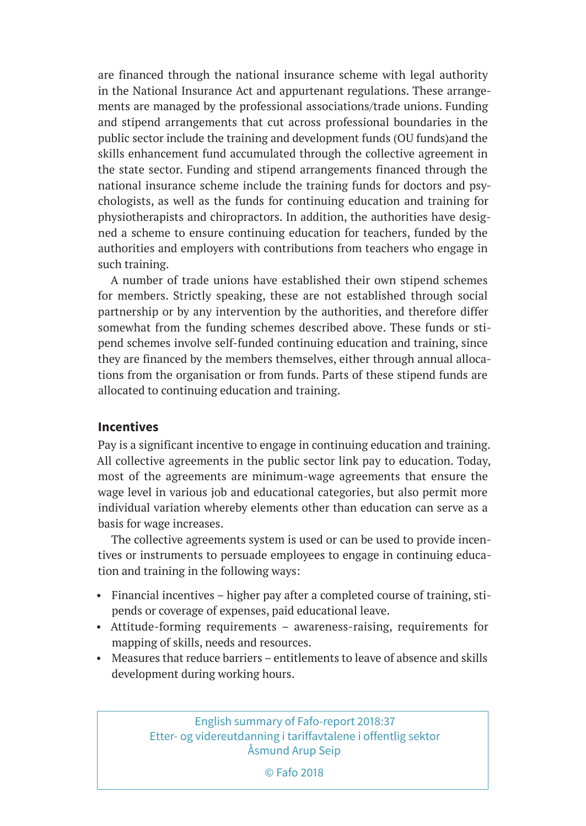are financed through the national insurance scheme with legal authority in the National Insurance Act and appurtenant regulations. These arrangements are managed by the professional associations/trade unions. Funding and stipend arrangements that cut across professional boundaries in the public sector include the training and development funds (OU funds)and the skills enhancement fund accumulated through the collective agreement in the state sector. Funding and stipend arrangements financed through the national insurance scheme include the training funds for doctors and psychologists, as well as the funds for continuing education and training for physiotherapists and chiropractors. In addition, the authorities have designed a scheme to ensure continuing education for teachers, funded by the authorities and employers with contributions from teachers who engage in such training.

A number of trade unions have established their own stipend schemes for members. Strictly speaking, these are not established through social partnership or by any intervention by the authorities, and therefore differ somewhat from the funding schemes described above. These funds or stipend schemes involve self-funded continuing education and training, since they are financed by the members themselves, either through annual allocations from the organisation or from funds. Parts of these stipend funds are allocated to continuing education and training.

#### **Incentives**

Pay is a significant incentive to engage in continuing education and training. All collective agreements in the public sector link pay to education. Today, most of the agreements are minimum-wage agreements that ensure the wage level in various job and educational categories, but also permit more individual variation whereby elements other than education can serve as a basis for wage increases.

The collective agreements system is used or can be used to provide incentives or instruments to persuade employees to engage in continuing education and training in the following ways:

- Financial incentives higher pay after a completed course of training, stipends or coverage of expenses, paid educational leave.
- Attitude-forming requirements awareness-raising, requirements for mapping of skills, needs and resources.
- Measures that reduce barriers entitlements to leave of absence and skills development during working hours.

5 Åsmund Arup Seip English summary of Fafo-report 2018:37 Etter- og videreutdanning i tariffavtalene i offentlig sektor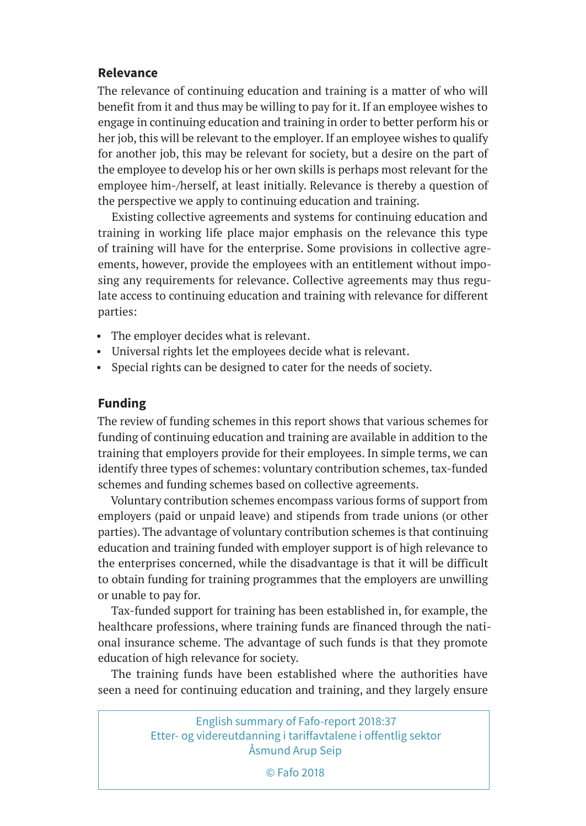### **Relevance**

The relevance of continuing education and training is a matter of who will benefit from it and thus may be willing to pay for it. If an employee wishes to engage in continuing education and training in order to better perform his or her job, this will be relevant to the employer. If an employee wishes to qualify for another job, this may be relevant for society, but a desire on the part of the employee to develop his or her own skills is perhaps most relevant for the employee him-/herself, at least initially. Relevance is thereby a question of the perspective we apply to continuing education and training.

Existing collective agreements and systems for continuing education and training in working life place major emphasis on the relevance this type of training will have for the enterprise. Some provisions in collective agreements, however, provide the employees with an entitlement without imposing any requirements for relevance. Collective agreements may thus regulate access to continuing education and training with relevance for different parties:

- The employer decides what is relevant.
- Universal rights let the employees decide what is relevant.
- Special rights can be designed to cater for the needs of society.

## **Funding**

The review of funding schemes in this report shows that various schemes for funding of continuing education and training are available in addition to the training that employers provide for their employees. In simple terms, we can identify three types of schemes: voluntary contribution schemes, tax-funded schemes and funding schemes based on collective agreements.

Voluntary contribution schemes encompass various forms of support from employers (paid or unpaid leave) and stipends from trade unions (or other parties). The advantage of voluntary contribution schemes is that continuing education and training funded with employer support is of high relevance to the enterprises concerned, while the disadvantage is that it will be difficult to obtain funding for training programmes that the employers are unwilling or unable to pay for.

Tax-funded support for training has been established in, for example, the healthcare professions, where training funds are financed through the national insurance scheme. The advantage of such funds is that they promote education of high relevance for society.

The training funds have been established where the authorities have seen a need for continuing education and training, and they largely ensure

> English summary of Fafo-report 2018:37 Etter- og videreutdanning i tariffavtalene i offentlig sektor Åsmund Arup Seip